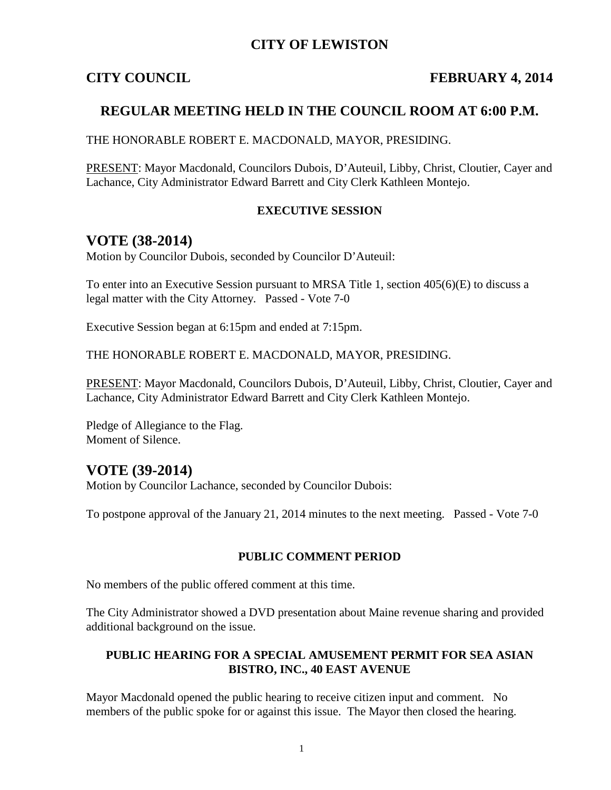### **CITY OF LEWISTON**

### **CITY COUNCIL FEBRUARY 4, 2014**

## **REGULAR MEETING HELD IN THE COUNCIL ROOM AT 6:00 P.M.**

THE HONORABLE ROBERT E. MACDONALD, MAYOR, PRESIDING.

PRESENT: Mayor Macdonald, Councilors Dubois, D'Auteuil, Libby, Christ, Cloutier, Cayer and Lachance, City Administrator Edward Barrett and City Clerk Kathleen Montejo.

#### **EXECUTIVE SESSION**

## **VOTE (38-2014)**

Motion by Councilor Dubois, seconded by Councilor D'Auteuil:

To enter into an Executive Session pursuant to MRSA Title 1, section 405(6)(E) to discuss a legal matter with the City Attorney. Passed - Vote 7-0

Executive Session began at 6:15pm and ended at 7:15pm.

THE HONORABLE ROBERT E. MACDONALD, MAYOR, PRESIDING.

PRESENT: Mayor Macdonald, Councilors Dubois, D'Auteuil, Libby, Christ, Cloutier, Cayer and Lachance, City Administrator Edward Barrett and City Clerk Kathleen Montejo.

Pledge of Allegiance to the Flag. Moment of Silence.

## **VOTE (39-2014)**

Motion by Councilor Lachance, seconded by Councilor Dubois:

To postpone approval of the January 21, 2014 minutes to the next meeting. Passed - Vote 7-0

#### **PUBLIC COMMENT PERIOD**

No members of the public offered comment at this time.

The City Administrator showed a DVD presentation about Maine revenue sharing and provided additional background on the issue.

#### **PUBLIC HEARING FOR A SPECIAL AMUSEMENT PERMIT FOR SEA ASIAN BISTRO, INC., 40 EAST AVENUE**

Mayor Macdonald opened the public hearing to receive citizen input and comment. No members of the public spoke for or against this issue. The Mayor then closed the hearing.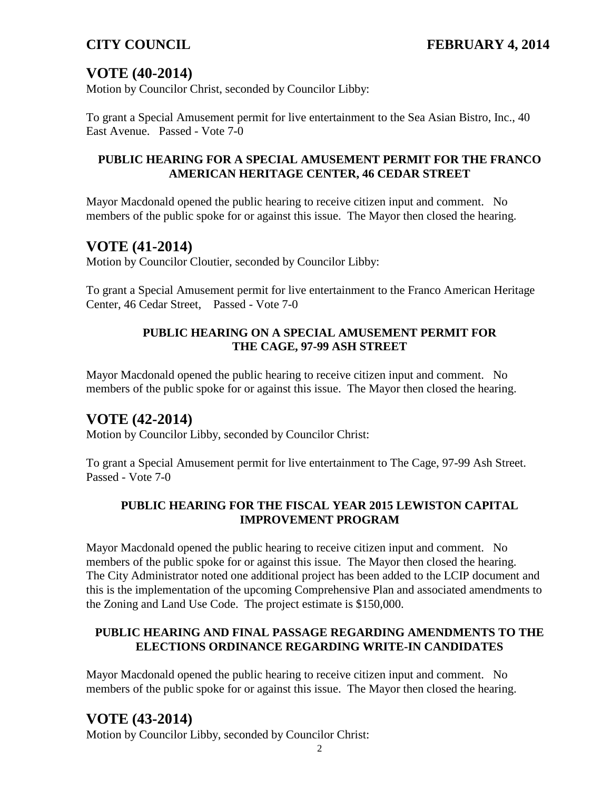# **VOTE (40-2014)**

Motion by Councilor Christ, seconded by Councilor Libby:

To grant a Special Amusement permit for live entertainment to the Sea Asian Bistro, Inc., 40 East Avenue. Passed - Vote 7-0

#### **PUBLIC HEARING FOR A SPECIAL AMUSEMENT PERMIT FOR THE FRANCO AMERICAN HERITAGE CENTER, 46 CEDAR STREET**

Mayor Macdonald opened the public hearing to receive citizen input and comment. No members of the public spoke for or against this issue. The Mayor then closed the hearing.

## **VOTE (41-2014)**

Motion by Councilor Cloutier, seconded by Councilor Libby:

To grant a Special Amusement permit for live entertainment to the Franco American Heritage Center, 46 Cedar Street, Passed - Vote 7-0

#### **PUBLIC HEARING ON A SPECIAL AMUSEMENT PERMIT FOR THE CAGE, 97-99 ASH STREET**

Mayor Macdonald opened the public hearing to receive citizen input and comment. No members of the public spoke for or against this issue. The Mayor then closed the hearing.

## **VOTE (42-2014)**

Motion by Councilor Libby, seconded by Councilor Christ:

To grant a Special Amusement permit for live entertainment to The Cage, 97-99 Ash Street. Passed - Vote 7-0

### **PUBLIC HEARING FOR THE FISCAL YEAR 2015 LEWISTON CAPITAL IMPROVEMENT PROGRAM**

Mayor Macdonald opened the public hearing to receive citizen input and comment. No members of the public spoke for or against this issue. The Mayor then closed the hearing. The City Administrator noted one additional project has been added to the LCIP document and this is the implementation of the upcoming Comprehensive Plan and associated amendments to the Zoning and Land Use Code. The project estimate is \$150,000.

### **PUBLIC HEARING AND FINAL PASSAGE REGARDING AMENDMENTS TO THE ELECTIONS ORDINANCE REGARDING WRITE-IN CANDIDATES**

Mayor Macdonald opened the public hearing to receive citizen input and comment. No members of the public spoke for or against this issue. The Mayor then closed the hearing.

# **VOTE (43-2014)**

Motion by Councilor Libby, seconded by Councilor Christ: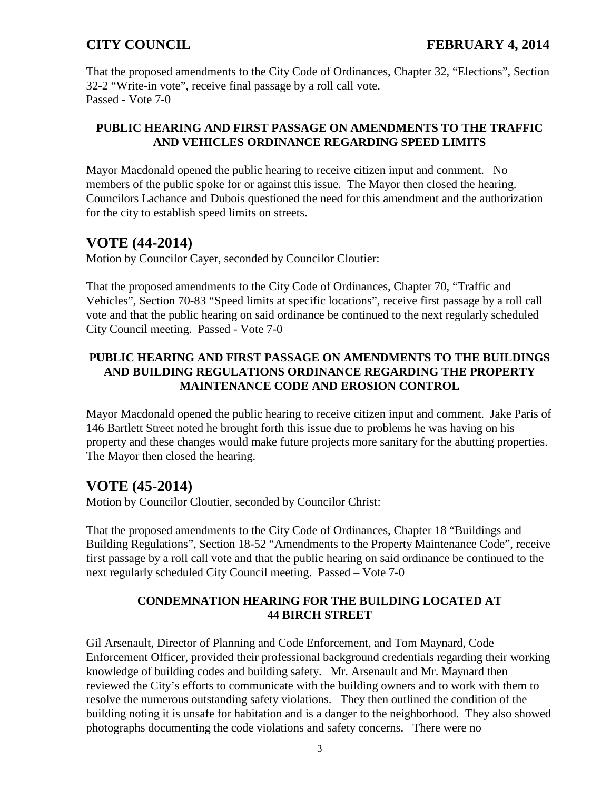That the proposed amendments to the City Code of Ordinances, Chapter 32, "Elections", Section 32-2 "Write-in vote", receive final passage by a roll call vote. Passed - Vote 7-0

#### **PUBLIC HEARING AND FIRST PASSAGE ON AMENDMENTS TO THE TRAFFIC AND VEHICLES ORDINANCE REGARDING SPEED LIMITS**

Mayor Macdonald opened the public hearing to receive citizen input and comment. No members of the public spoke for or against this issue. The Mayor then closed the hearing. Councilors Lachance and Dubois questioned the need for this amendment and the authorization for the city to establish speed limits on streets.

## **VOTE (44-2014)**

Motion by Councilor Cayer, seconded by Councilor Cloutier:

That the proposed amendments to the City Code of Ordinances, Chapter 70, "Traffic and Vehicles", Section 70-83 "Speed limits at specific locations", receive first passage by a roll call vote and that the public hearing on said ordinance be continued to the next regularly scheduled City Council meeting. Passed - Vote 7-0

### **PUBLIC HEARING AND FIRST PASSAGE ON AMENDMENTS TO THE BUILDINGS AND BUILDING REGULATIONS ORDINANCE REGARDING THE PROPERTY MAINTENANCE CODE AND EROSION CONTROL**

Mayor Macdonald opened the public hearing to receive citizen input and comment. Jake Paris of 146 Bartlett Street noted he brought forth this issue due to problems he was having on his property and these changes would make future projects more sanitary for the abutting properties. The Mayor then closed the hearing.

# **VOTE (45-2014)**

Motion by Councilor Cloutier, seconded by Councilor Christ:

That the proposed amendments to the City Code of Ordinances, Chapter 18 "Buildings and Building Regulations", Section 18-52 "Amendments to the Property Maintenance Code", receive first passage by a roll call vote and that the public hearing on said ordinance be continued to the next regularly scheduled City Council meeting. Passed – Vote 7-0

### **CONDEMNATION HEARING FOR THE BUILDING LOCATED AT 44 BIRCH STREET**

Gil Arsenault, Director of Planning and Code Enforcement, and Tom Maynard, Code Enforcement Officer, provided their professional background credentials regarding their working knowledge of building codes and building safety. Mr. Arsenault and Mr. Maynard then reviewed the City's efforts to communicate with the building owners and to work with them to resolve the numerous outstanding safety violations. They then outlined the condition of the building noting it is unsafe for habitation and is a danger to the neighborhood. They also showed photographs documenting the code violations and safety concerns. There were no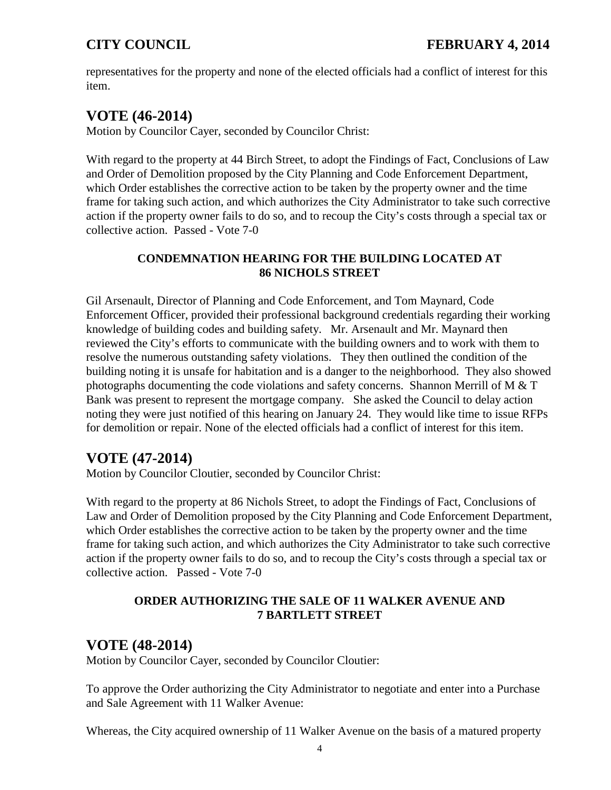representatives for the property and none of the elected officials had a conflict of interest for this item.

# **VOTE (46-2014)**

Motion by Councilor Cayer, seconded by Councilor Christ:

With regard to the property at 44 Birch Street, to adopt the Findings of Fact, Conclusions of Law and Order of Demolition proposed by the City Planning and Code Enforcement Department, which Order establishes the corrective action to be taken by the property owner and the time frame for taking such action, and which authorizes the City Administrator to take such corrective action if the property owner fails to do so, and to recoup the City's costs through a special tax or collective action. Passed - Vote 7-0

### **CONDEMNATION HEARING FOR THE BUILDING LOCATED AT 86 NICHOLS STREET**

Gil Arsenault, Director of Planning and Code Enforcement, and Tom Maynard, Code Enforcement Officer, provided their professional background credentials regarding their working knowledge of building codes and building safety. Mr. Arsenault and Mr. Maynard then reviewed the City's efforts to communicate with the building owners and to work with them to resolve the numerous outstanding safety violations. They then outlined the condition of the building noting it is unsafe for habitation and is a danger to the neighborhood. They also showed photographs documenting the code violations and safety concerns. Shannon Merrill of M & T Bank was present to represent the mortgage company. She asked the Council to delay action noting they were just notified of this hearing on January 24. They would like time to issue RFPs for demolition or repair. None of the elected officials had a conflict of interest for this item.

# **VOTE (47-2014)**

Motion by Councilor Cloutier, seconded by Councilor Christ:

With regard to the property at 86 Nichols Street, to adopt the Findings of Fact, Conclusions of Law and Order of Demolition proposed by the City Planning and Code Enforcement Department, which Order establishes the corrective action to be taken by the property owner and the time frame for taking such action, and which authorizes the City Administrator to take such corrective action if the property owner fails to do so, and to recoup the City's costs through a special tax or collective action. Passed - Vote 7-0

### **ORDER AUTHORIZING THE SALE OF 11 WALKER AVENUE AND 7 BARTLETT STREET**

## **VOTE (48-2014)**

Motion by Councilor Cayer, seconded by Councilor Cloutier:

To approve the Order authorizing the City Administrator to negotiate and enter into a Purchase and Sale Agreement with 11 Walker Avenue:

Whereas, the City acquired ownership of 11 Walker Avenue on the basis of a matured property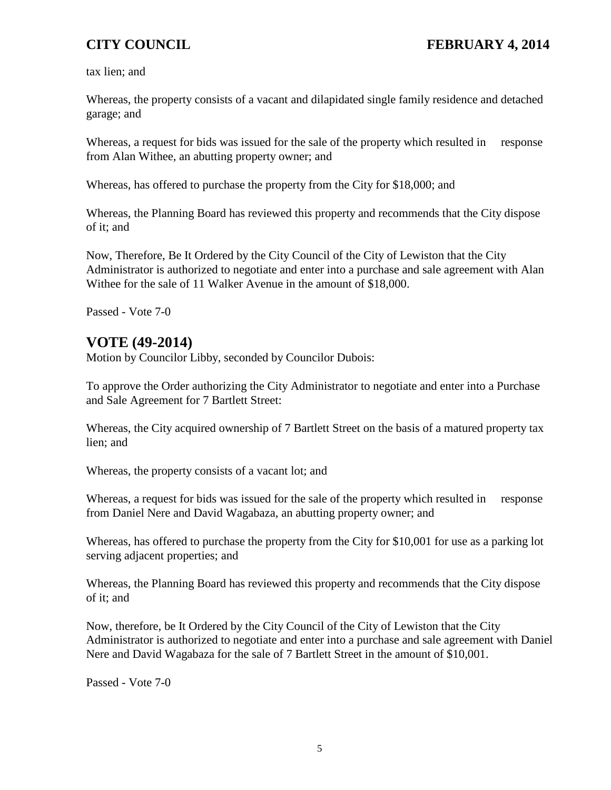tax lien; and

Whereas, the property consists of a vacant and dilapidated single family residence and detached garage; and

Whereas, a request for bids was issued for the sale of the property which resulted in response from Alan Withee, an abutting property owner; and

Whereas, has offered to purchase the property from the City for \$18,000; and

Whereas, the Planning Board has reviewed this property and recommends that the City dispose of it; and

Now, Therefore, Be It Ordered by the City Council of the City of Lewiston that the City Administrator is authorized to negotiate and enter into a purchase and sale agreement with Alan Withee for the sale of 11 Walker Avenue in the amount of \$18,000.

Passed - Vote 7-0

## **VOTE (49-2014)**

Motion by Councilor Libby, seconded by Councilor Dubois:

To approve the Order authorizing the City Administrator to negotiate and enter into a Purchase and Sale Agreement for 7 Bartlett Street:

Whereas, the City acquired ownership of 7 Bartlett Street on the basis of a matured property tax lien; and

Whereas, the property consists of a vacant lot; and

Whereas, a request for bids was issued for the sale of the property which resulted in response from Daniel Nere and David Wagabaza, an abutting property owner; and

Whereas, has offered to purchase the property from the City for \$10,001 for use as a parking lot serving adjacent properties; and

Whereas, the Planning Board has reviewed this property and recommends that the City dispose of it; and

Now, therefore, be It Ordered by the City Council of the City of Lewiston that the City Administrator is authorized to negotiate and enter into a purchase and sale agreement with Daniel Nere and David Wagabaza for the sale of 7 Bartlett Street in the amount of \$10,001.

Passed - Vote 7-0